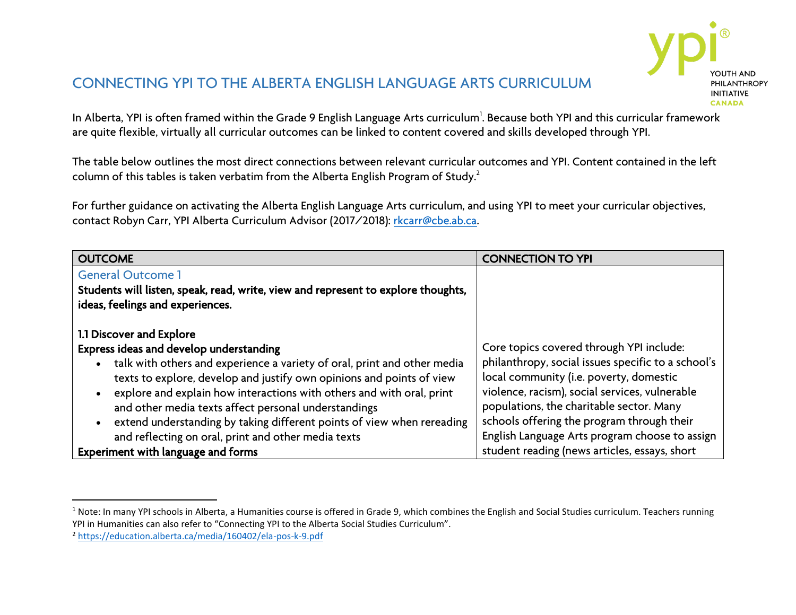

# CONNECTING YPI TO THE ALBERTA ENGLISH LANGUAGE ARTS CURRICULUM

In Alberta, YPI is often framed within the Grade 9 English Language Arts curriculum<sup>1</sup>. Because both YPI and this curricular framework are quite flexible, virtually all curricular outcomes can be linked to content covered and skills developed through YPI.

The table below outlines the most direct connections between relevant curricular outcomes and YPI. Content contained in the left column of this tables is taken verbatim from the Alberta English Program of Study.<sup>2</sup>

For further guidance on activating the Alberta English Language Arts curriculum, and using YPI to meet your curricular objectives, contact Robyn Carr, YPI Alberta Curriculum Advisor (2017/2018): [rkcarr@cbe.ab.ca.](mailto:rkcarr@cbe.ab.ca) 

| <b>OUTCOME</b>                                                                    | <b>CONNECTION TO YPI</b>                           |
|-----------------------------------------------------------------------------------|----------------------------------------------------|
| <b>General Outcome 1</b>                                                          |                                                    |
| Students will listen, speak, read, write, view and represent to explore thoughts, |                                                    |
| ideas, feelings and experiences.                                                  |                                                    |
|                                                                                   |                                                    |
| 1.1 Discover and Explore                                                          |                                                    |
| Express ideas and develop understanding                                           | Core topics covered through YPI include:           |
| talk with others and experience a variety of oral, print and other media          | philanthropy, social issues specific to a school's |
| texts to explore, develop and justify own opinions and points of view             | local community (i.e. poverty, domestic            |
| explore and explain how interactions with others and with oral, print             | violence, racism), social services, vulnerable     |
| and other media texts affect personal understandings                              | populations, the charitable sector. Many           |
| extend understanding by taking different points of view when rereading            | schools offering the program through their         |
| and reflecting on oral, print and other media texts                               | English Language Arts program choose to assign     |
| Experiment with language and forms                                                | student reading (news articles, essays, short      |

 $\overline{\phantom{a}}$ 

 $1$  Note: In many YPI schools in Alberta, a Humanities course is offered in Grade 9, which combines the English and Social Studies curriculum. Teachers running YPI in Humanities can also refer to "Connecting YPI to the Alberta Social Studies Curriculum".

<sup>2</sup> <https://education.alberta.ca/media/160402/ela-pos-k-9.pdf>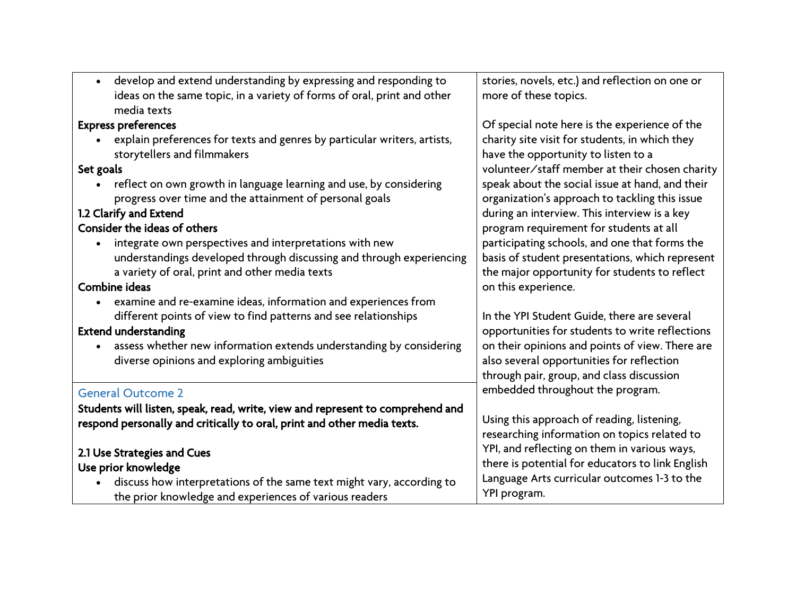| develop and extend understanding by expressing and responding to<br>$\bullet$                                                 | stories, novels, etc.) and reflection on one or  |
|-------------------------------------------------------------------------------------------------------------------------------|--------------------------------------------------|
| ideas on the same topic, in a variety of forms of oral, print and other<br>media texts                                        | more of these topics.                            |
| <b>Express preferences</b>                                                                                                    | Of special note here is the experience of the    |
| explain preferences for texts and genres by particular writers, artists,                                                      | charity site visit for students, in which they   |
| $\bullet$<br>storytellers and filmmakers                                                                                      | have the opportunity to listen to a              |
| Set goals                                                                                                                     | volunteer/staff member at their chosen charity   |
|                                                                                                                               | speak about the social issue at hand, and their  |
| reflect on own growth in language learning and use, by considering<br>progress over time and the attainment of personal goals | organization's approach to tackling this issue   |
| 1.2 Clarify and Extend                                                                                                        | during an interview. This interview is a key     |
| Consider the ideas of others                                                                                                  | program requirement for students at all          |
| integrate own perspectives and interpretations with new<br>$\bullet$                                                          | participating schools, and one that forms the    |
| understandings developed through discussing and through experiencing                                                          | basis of student presentations, which represent  |
| a variety of oral, print and other media texts                                                                                | the major opportunity for students to reflect    |
| Combine ideas                                                                                                                 | on this experience.                              |
| examine and re-examine ideas, information and experiences from<br>$\bullet$                                                   |                                                  |
| different points of view to find patterns and see relationships                                                               | In the YPI Student Guide, there are several      |
| <b>Extend understanding</b>                                                                                                   | opportunities for students to write reflections  |
| assess whether new information extends understanding by considering<br>$\bullet$                                              | on their opinions and points of view. There are  |
| diverse opinions and exploring ambiguities                                                                                    | also several opportunities for reflection        |
|                                                                                                                               | through pair, group, and class discussion        |
| <b>General Outcome 2</b>                                                                                                      | embedded throughout the program.                 |
| Students will listen, speak, read, write, view and represent to comprehend and                                                |                                                  |
| respond personally and critically to oral, print and other media texts.                                                       | Using this approach of reading, listening,       |
|                                                                                                                               | researching information on topics related to     |
| 2.1 Use Strategies and Cues                                                                                                   | YPI, and reflecting on them in various ways,     |
| Use prior knowledge                                                                                                           | there is potential for educators to link English |
| discuss how interpretations of the same text might vary, according to                                                         | Language Arts curricular outcomes 1-3 to the     |
| the prior knowledge and experiences of various readers                                                                        | YPI program.                                     |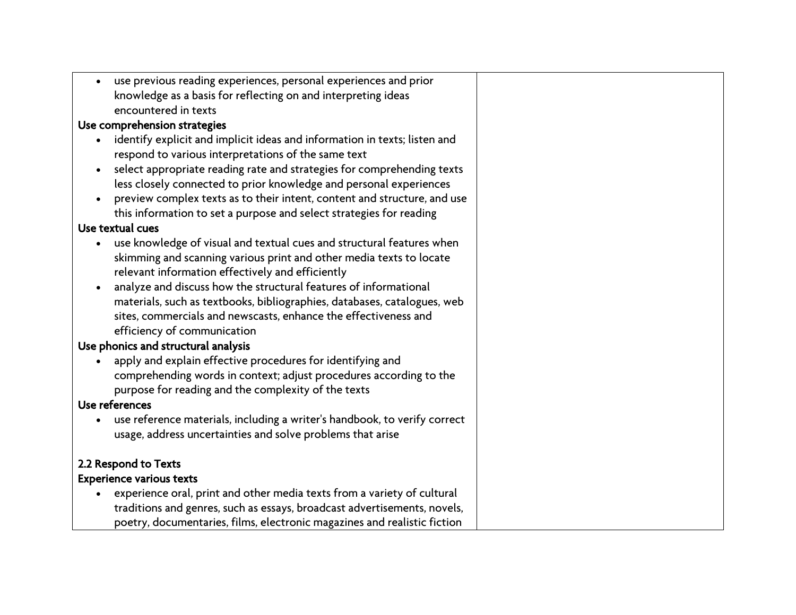|                              | use previous reading experiences, personal experiences and prior          |
|------------------------------|---------------------------------------------------------------------------|
|                              | knowledge as a basis for reflecting on and interpreting ideas             |
|                              | encountered in texts                                                      |
| Use comprehension strategies |                                                                           |
|                              | identify explicit and implicit ideas and information in texts; listen and |
|                              | respond to various interpretations of the same text                       |
| $\bullet$                    | select appropriate reading rate and strategies for comprehending texts    |
|                              | less closely connected to prior knowledge and personal experiences        |
|                              | preview complex texts as to their intent, content and structure, and use  |
|                              | this information to set a purpose and select strategies for reading       |
|                              | Use textual cues                                                          |
|                              | use knowledge of visual and textual cues and structural features when     |
|                              | skimming and scanning various print and other media texts to locate       |
|                              | relevant information effectively and efficiently                          |
|                              | analyze and discuss how the structural features of informational          |
|                              | materials, such as textbooks, bibliographies, databases, catalogues, web  |
|                              | sites, commercials and newscasts, enhance the effectiveness and           |
|                              | efficiency of communication                                               |
|                              | Use phonics and structural analysis                                       |
|                              | apply and explain effective procedures for identifying and                |
|                              | comprehending words in context; adjust procedures according to the        |
|                              | purpose for reading and the complexity of the texts                       |
|                              | Use references                                                            |
|                              | use reference materials, including a writer's handbook, to verify correct |
|                              | usage, address uncertainties and solve problems that arise                |
|                              | 2.2 Respond to Texts                                                      |
|                              | <b>Experience various texts</b>                                           |
|                              | experience oral, print and other media texts from a variety of cultural   |
|                              | traditions and genres, such as essays, broadcast advertisements, novels,  |
|                              | poetry, documentaries, films, electronic magazines and realistic fiction  |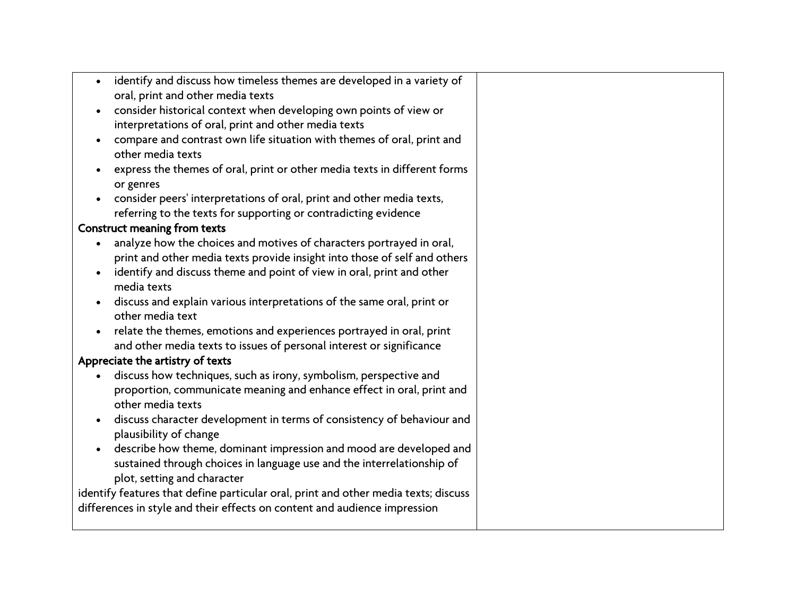| identify and discuss how timeless themes are developed in a variety of<br>$\bullet$               |  |
|---------------------------------------------------------------------------------------------------|--|
| oral, print and other media texts                                                                 |  |
| consider historical context when developing own points of view or                                 |  |
| interpretations of oral, print and other media texts                                              |  |
| compare and contrast own life situation with themes of oral, print and<br>$\bullet$               |  |
| other media texts                                                                                 |  |
| express the themes of oral, print or other media texts in different forms<br>or genres            |  |
| consider peers' interpretations of oral, print and other media texts,                             |  |
| referring to the texts for supporting or contradicting evidence                                   |  |
| <b>Construct meaning from texts</b>                                                               |  |
|                                                                                                   |  |
| analyze how the choices and motives of characters portrayed in oral,<br>$\bullet$                 |  |
| print and other media texts provide insight into those of self and others                         |  |
| identify and discuss theme and point of view in oral, print and other<br>$\bullet$<br>media texts |  |
| discuss and explain various interpretations of the same oral, print or                            |  |
| other media text                                                                                  |  |
| relate the themes, emotions and experiences portrayed in oral, print<br>$\bullet$                 |  |
| and other media texts to issues of personal interest or significance                              |  |
| Appreciate the artistry of texts                                                                  |  |
| discuss how techniques, such as irony, symbolism, perspective and                                 |  |
| proportion, communicate meaning and enhance effect in oral, print and                             |  |
| other media texts                                                                                 |  |
| discuss character development in terms of consistency of behaviour and                            |  |
| plausibility of change                                                                            |  |
| describe how theme, dominant impression and mood are developed and                                |  |
| sustained through choices in language use and the interrelationship of                            |  |
| plot, setting and character                                                                       |  |
| identify features that define particular oral, print and other media texts; discuss               |  |
| differences in style and their effects on content and audience impression                         |  |
|                                                                                                   |  |
|                                                                                                   |  |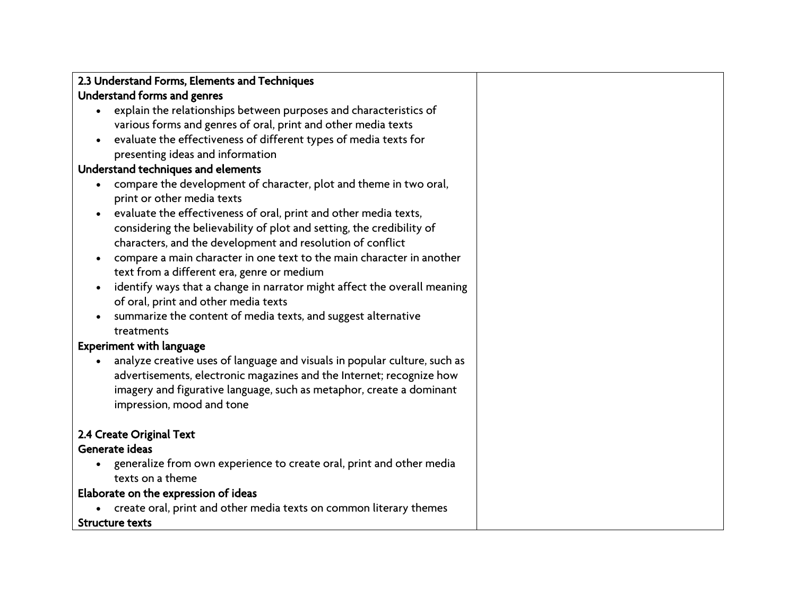| 2.3 Understand Forms, Elements and Techniques |
|-----------------------------------------------|
| Understand forms and genres                   |

- explain the relationships between purposes and characteristics of various forms and genres of oral, print and other media texts
- evaluate the effectiveness of different types of media texts for presenting ideas and information

### Understand techniques and elements

- compare the development of character, plot and theme in two oral, print or other media texts
- evaluate the effectiveness of oral, print and other media texts, considering the believability of plot and setting, the credibility of characters, and the development and resolution of conflict
- compare a main character in one text to the main character in another text from a different era, genre or medium
- identify ways that a change in narrator might affect the overall meaning of oral, print and other media texts
- summarize the content of media texts, and suggest alternative treatments

### Experiment with language

 analyze creative uses of language and visuals in popular culture, such as advertisements, electronic magazines and the Internet; recognize how imagery and figurative language, such as metaphor, create a dominant impression, mood and tone

# 2.4 Create Original Text

# Generate ideas

 generalize from own experience to create oral, print and other media texts on a theme

# Elaborate on the expression of ideas

create oral, print and other media texts on common literary themes

### Structure texts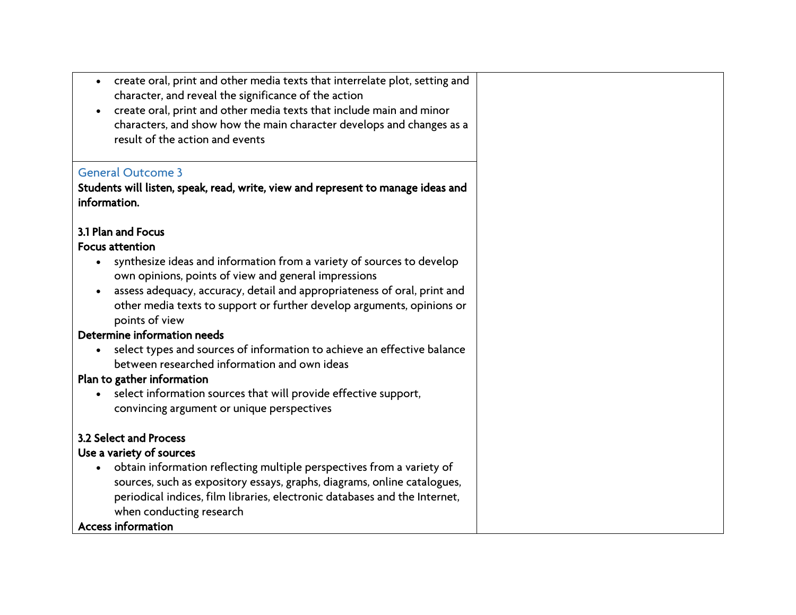| create oral, print and other media texts that interrelate plot, setting and<br>$\bullet$<br>character, and reveal the significance of the action<br>create oral, print and other media texts that include main and minor<br>characters, and show how the main character develops and changes as a<br>result of the action and events |
|--------------------------------------------------------------------------------------------------------------------------------------------------------------------------------------------------------------------------------------------------------------------------------------------------------------------------------------|
| <b>General Outcome 3</b>                                                                                                                                                                                                                                                                                                             |
| Students will listen, speak, read, write, view and represent to manage ideas and<br>information.                                                                                                                                                                                                                                     |
| 3.1 Plan and Focus                                                                                                                                                                                                                                                                                                                   |
| <b>Focus attention</b>                                                                                                                                                                                                                                                                                                               |
| synthesize ideas and information from a variety of sources to develop                                                                                                                                                                                                                                                                |
| own opinions, points of view and general impressions                                                                                                                                                                                                                                                                                 |
| assess adequacy, accuracy, detail and appropriateness of oral, print and                                                                                                                                                                                                                                                             |
| other media texts to support or further develop arguments, opinions or<br>points of view                                                                                                                                                                                                                                             |
| Determine information needs                                                                                                                                                                                                                                                                                                          |
| select types and sources of information to achieve an effective balance                                                                                                                                                                                                                                                              |
| between researched information and own ideas                                                                                                                                                                                                                                                                                         |
| Plan to gather information                                                                                                                                                                                                                                                                                                           |
| select information sources that will provide effective support,                                                                                                                                                                                                                                                                      |
| convincing argument or unique perspectives                                                                                                                                                                                                                                                                                           |
| 3.2 Select and Process                                                                                                                                                                                                                                                                                                               |
| Use a variety of sources                                                                                                                                                                                                                                                                                                             |
| obtain information reflecting multiple perspectives from a variety of                                                                                                                                                                                                                                                                |
| sources, such as expository essays, graphs, diagrams, online catalogues,                                                                                                                                                                                                                                                             |
| periodical indices, film libraries, electronic databases and the Internet,                                                                                                                                                                                                                                                           |
| when conducting research                                                                                                                                                                                                                                                                                                             |
| <b>Access information</b>                                                                                                                                                                                                                                                                                                            |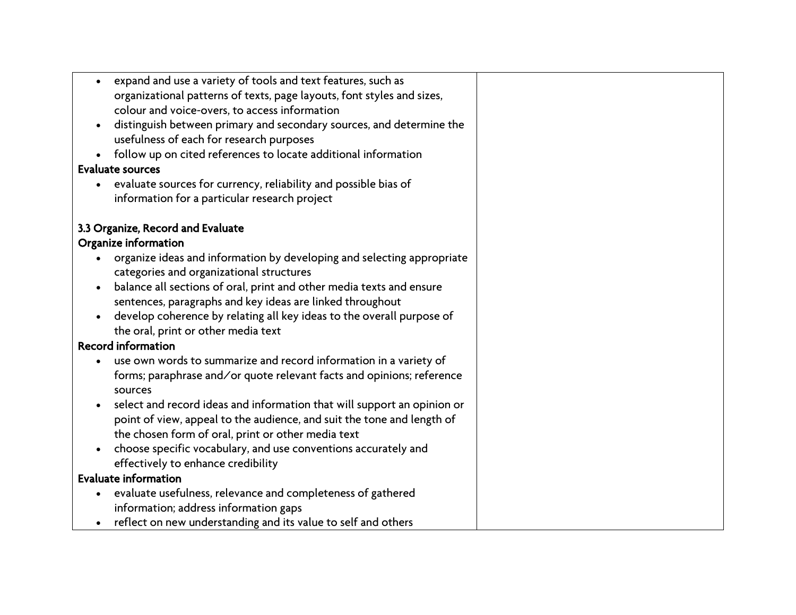| expand and use a variety of tools and text features, such as<br>$\bullet$    |  |
|------------------------------------------------------------------------------|--|
| organizational patterns of texts, page layouts, font styles and sizes,       |  |
| colour and voice-overs, to access information                                |  |
| distinguish between primary and secondary sources, and determine the         |  |
| usefulness of each for research purposes                                     |  |
| follow up on cited references to locate additional information               |  |
| <b>Evaluate sources</b>                                                      |  |
| evaluate sources for currency, reliability and possible bias of<br>$\bullet$ |  |
| information for a particular research project                                |  |
| 3.3 Organize, Record and Evaluate                                            |  |
| Organize information                                                         |  |
| organize ideas and information by developing and selecting appropriate       |  |
| categories and organizational structures                                     |  |
| balance all sections of oral, print and other media texts and ensure         |  |
| sentences, paragraphs and key ideas are linked throughout                    |  |
| develop coherence by relating all key ideas to the overall purpose of        |  |
| the oral, print or other media text                                          |  |
| <b>Record information</b>                                                    |  |
| use own words to summarize and record information in a variety of            |  |
| forms; paraphrase and/or quote relevant facts and opinions; reference        |  |
| sources                                                                      |  |
| select and record ideas and information that will support an opinion or      |  |
| point of view, appeal to the audience, and suit the tone and length of       |  |
| the chosen form of oral, print or other media text                           |  |
| choose specific vocabulary, and use conventions accurately and               |  |
| effectively to enhance credibility                                           |  |
| <b>Evaluate information</b>                                                  |  |
| evaluate usefulness, relevance and completeness of gathered                  |  |
| information; address information gaps                                        |  |
| reflect on new understanding and its value to self and others<br>$\bullet$   |  |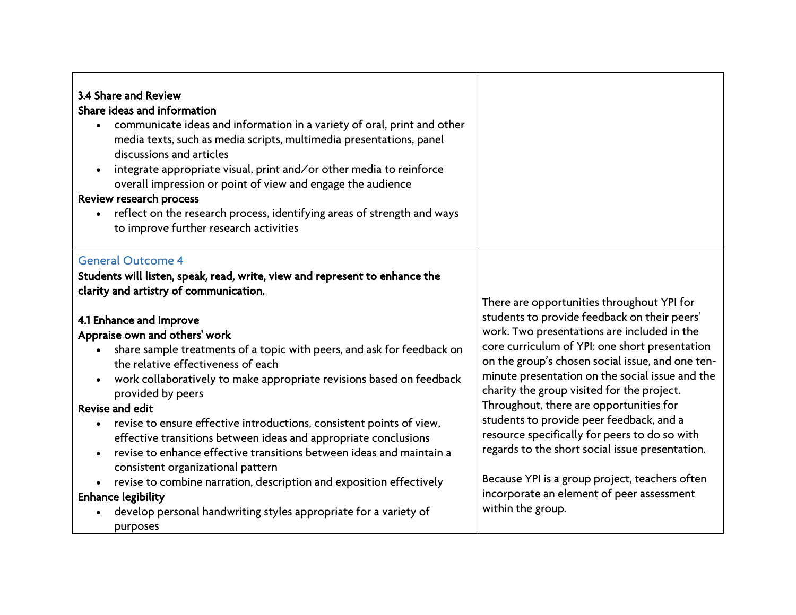| 3.4 Share and Review<br>Share ideas and information<br>communicate ideas and information in a variety of oral, print and other<br>media texts, such as media scripts, multimedia presentations, panel<br>discussions and articles<br>integrate appropriate visual, print and/or other media to reinforce<br>overall impression or point of view and engage the audience<br>Review research process<br>reflect on the research process, identifying areas of strength and ways<br>to improve further research activities                                                                                                                                                                                                                                                                                                                                                                          |                                                                                                                                                                                                                                                                                                                                                                                                                                                                                                                                                                                                                                                                 |
|--------------------------------------------------------------------------------------------------------------------------------------------------------------------------------------------------------------------------------------------------------------------------------------------------------------------------------------------------------------------------------------------------------------------------------------------------------------------------------------------------------------------------------------------------------------------------------------------------------------------------------------------------------------------------------------------------------------------------------------------------------------------------------------------------------------------------------------------------------------------------------------------------|-----------------------------------------------------------------------------------------------------------------------------------------------------------------------------------------------------------------------------------------------------------------------------------------------------------------------------------------------------------------------------------------------------------------------------------------------------------------------------------------------------------------------------------------------------------------------------------------------------------------------------------------------------------------|
| <b>General Outcome 4</b><br>Students will listen, speak, read, write, view and represent to enhance the<br>clarity and artistry of communication.<br>4.1 Enhance and Improve<br>Appraise own and others' work<br>share sample treatments of a topic with peers, and ask for feedback on<br>the relative effectiveness of each<br>work collaboratively to make appropriate revisions based on feedback<br>provided by peers<br><b>Revise and edit</b><br>revise to ensure effective introductions, consistent points of view,<br>effective transitions between ideas and appropriate conclusions<br>revise to enhance effective transitions between ideas and maintain a<br>consistent organizational pattern<br>revise to combine narration, description and exposition effectively<br><b>Enhance legibility</b><br>develop personal handwriting styles appropriate for a variety of<br>purposes | There are opportunities throughout YPI for<br>students to provide feedback on their peers'<br>work. Two presentations are included in the<br>core curriculum of YPI: one short presentation<br>on the group's chosen social issue, and one ten-<br>minute presentation on the social issue and the<br>charity the group visited for the project.<br>Throughout, there are opportunities for<br>students to provide peer feedback, and a<br>resource specifically for peers to do so with<br>regards to the short social issue presentation.<br>Because YPI is a group project, teachers often<br>incorporate an element of peer assessment<br>within the group. |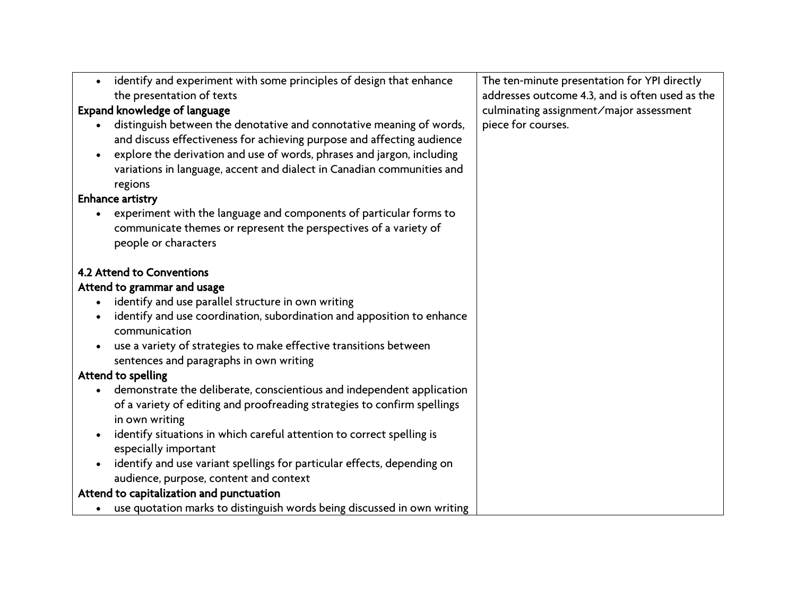| $\bullet$ | identify and experiment with some principles of design that enhance      | The ten-minute presentation for YPI directly    |
|-----------|--------------------------------------------------------------------------|-------------------------------------------------|
|           | the presentation of texts                                                | addresses outcome 4.3, and is often used as the |
|           | Expand knowledge of language                                             | culminating assignment/major assessment         |
|           | distinguish between the denotative and connotative meaning of words,     | piece for courses.                              |
|           | and discuss effectiveness for achieving purpose and affecting audience   |                                                 |
| $\bullet$ | explore the derivation and use of words, phrases and jargon, including   |                                                 |
|           | variations in language, accent and dialect in Canadian communities and   |                                                 |
|           | regions                                                                  |                                                 |
|           | <b>Enhance artistry</b>                                                  |                                                 |
|           | experiment with the language and components of particular forms to       |                                                 |
|           | communicate themes or represent the perspectives of a variety of         |                                                 |
|           | people or characters                                                     |                                                 |
|           |                                                                          |                                                 |
|           | 4.2 Attend to Conventions                                                |                                                 |
|           | Attend to grammar and usage                                              |                                                 |
|           | identify and use parallel structure in own writing                       |                                                 |
| $\bullet$ | identify and use coordination, subordination and apposition to enhance   |                                                 |
|           | communication                                                            |                                                 |
| $\bullet$ | use a variety of strategies to make effective transitions between        |                                                 |
|           | sentences and paragraphs in own writing                                  |                                                 |
|           | Attend to spelling                                                       |                                                 |
| $\bullet$ | demonstrate the deliberate, conscientious and independent application    |                                                 |
|           | of a variety of editing and proofreading strategies to confirm spellings |                                                 |
|           | in own writing                                                           |                                                 |
|           | identify situations in which careful attention to correct spelling is    |                                                 |
|           | especially important                                                     |                                                 |
|           | identify and use variant spellings for particular effects, depending on  |                                                 |
|           | audience, purpose, content and context                                   |                                                 |
|           | Attend to capitalization and punctuation                                 |                                                 |
|           | use quotation marks to distinguish words being discussed in own writing  |                                                 |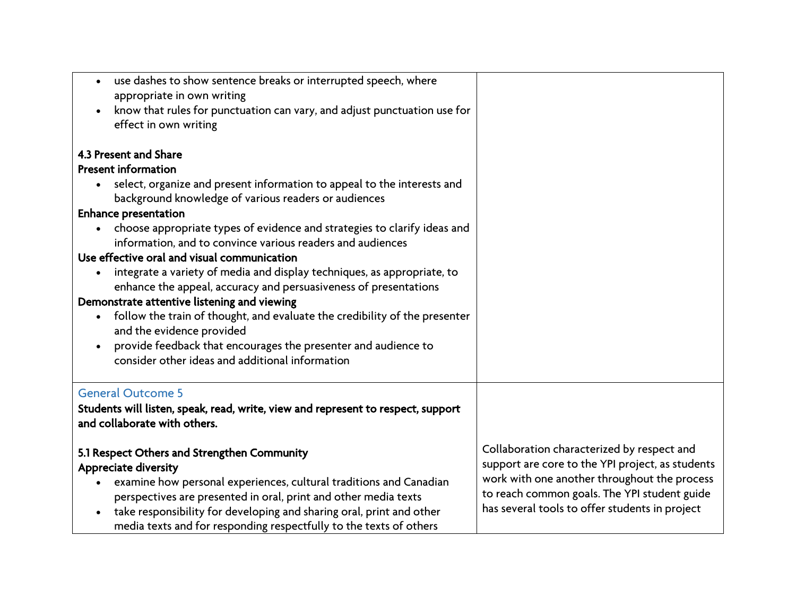| use dashes to show sentence breaks or interrupted speech, where<br>$\bullet$<br>appropriate in own writing<br>know that rules for punctuation can vary, and adjust punctuation use for<br>effect in own writing |                                                  |
|-----------------------------------------------------------------------------------------------------------------------------------------------------------------------------------------------------------------|--------------------------------------------------|
| 4.3 Present and Share                                                                                                                                                                                           |                                                  |
| <b>Present information</b>                                                                                                                                                                                      |                                                  |
| select, organize and present information to appeal to the interests and<br>$\bullet$                                                                                                                            |                                                  |
| background knowledge of various readers or audiences                                                                                                                                                            |                                                  |
| <b>Enhance presentation</b>                                                                                                                                                                                     |                                                  |
| choose appropriate types of evidence and strategies to clarify ideas and<br>information, and to convince various readers and audiences                                                                          |                                                  |
| Use effective oral and visual communication                                                                                                                                                                     |                                                  |
| integrate a variety of media and display techniques, as appropriate, to                                                                                                                                         |                                                  |
| enhance the appeal, accuracy and persuasiveness of presentations                                                                                                                                                |                                                  |
| Demonstrate attentive listening and viewing                                                                                                                                                                     |                                                  |
| follow the train of thought, and evaluate the credibility of the presenter<br>$\bullet$                                                                                                                         |                                                  |
| and the evidence provided                                                                                                                                                                                       |                                                  |
| provide feedback that encourages the presenter and audience to                                                                                                                                                  |                                                  |
| consider other ideas and additional information                                                                                                                                                                 |                                                  |
| <b>General Outcome 5</b>                                                                                                                                                                                        |                                                  |
| Students will listen, speak, read, write, view and represent to respect, support                                                                                                                                |                                                  |
| and collaborate with others.                                                                                                                                                                                    |                                                  |
| 5.1 Respect Others and Strengthen Community                                                                                                                                                                     | Collaboration characterized by respect and       |
| <b>Appreciate diversity</b>                                                                                                                                                                                     | support are core to the YPI project, as students |
| examine how personal experiences, cultural traditions and Canadian                                                                                                                                              | work with one another throughout the process     |
| perspectives are presented in oral, print and other media texts                                                                                                                                                 | to reach common goals. The YPI student guide     |
| take responsibility for developing and sharing oral, print and other                                                                                                                                            | has several tools to offer students in project   |
| media texts and for responding respectfully to the texts of others                                                                                                                                              |                                                  |